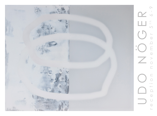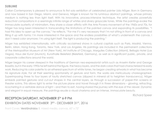## **SUBLIME**

Callan Contemporary is pleased to announce its first solo exhibition of celebrated painter Udo Nöger. Born in Germany and now based in San Diego, Miami, and Geneva, Nöger is known for his luminous abstract paintings, whose primary medium is nothing less than light itself. With his innovative, process-intensive technique, the artist creates powerfully reductivist compositions in a seemingly infinite range of whites and silvery grayscale tones. While the paintings evoke the immaculate austerity of minimalism, they share a closer affinity with the Arte Povera movement of the 1960s and 70s, for Nöger has long been interested in transcending the limitations of the painted canvas and expanding its possibilities. "I had this idea to open up the canvas," he reflects. "For me it's very necessary that I'm not sitting in front of a canvas and filling it up with forms; I'm more interested in the space and the endless possibilities of what's underneath the canvas. I don't need color anymore; I'm using light itself. The light is producing the painting."

Nöger has exhibited internationally, with critically acclaimed shows in cultural capitals such as Paris, Madrid, Vienna, Berlin, Milan, Hong Kong, Toronto, New York, and Los Angeles. His paintings are included in the permanent collections of the Metropolitan Museum of Art (New York), Art Institute of Chicago, Margulies Collection (Miami), Bellagio Hotel (Las Vegas), Haus der Kunst (Munich), Kunsthalle Bielefeld (Bielefeld, Germany), as well as in significant public, private, and corporate collections around the world.

Nöger began his career steeped in the traditions of German neo-expressionist artists such as Anselm Kiefer and George Baselitz, but in the early 1990s he left behind the figure, the heavy layers, and the dark colors that had characterized his early work. Reducing his color palette to an ethereal spectrum of white tones, he began creating artworks in what has become his signature style. For all their seeming spontaneity of gesture and form, the works are meticulously choreographed. Superimposing three to four layers of tautly stretched canvas (dipped in mineral oil to heighten translucency), Nöger embeds painted gestures and cut-out shapes in the central layers, as through a succession of paper-thin screens or theater scrims. This allows light to enter the picture plane and travel through it in three dimensions – glowing, refracting, ricocheting in a veritable dance of light – and then to exit, having shared the journey with the eye of the viewer. Dynamic and elegant in equal measure, the paintings exude a visual charisma and an intense, immaculate beauty.

Richard Speer

## RECEPTION SATURDAY, NOVEMBER 5<sup>TH</sup> 6-9 PM EXHIBITION DATES NOVEMBER 3RD - DECEMBER 31ST, 2016

Front Cover: *Verständnislos 1,* mixed media, canvas, 60" x 72"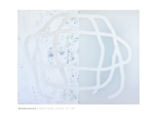

*Zerträumend 6,* mixed media, canvas, 75" x 96"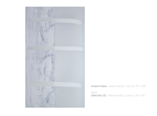

*Innere Farbe,* mixed media, canvas, 97" x 58"

Right:

*Gleichlos 35,* mixed media, canvas, 56" x 40"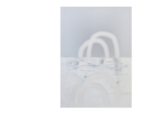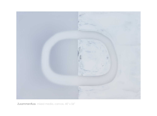

*Zusammenfluss,* mixed media, canvas, 40" x 56"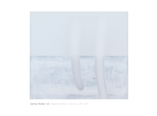

*Same Water 14,* mixed media, canvas, 24" x 27"